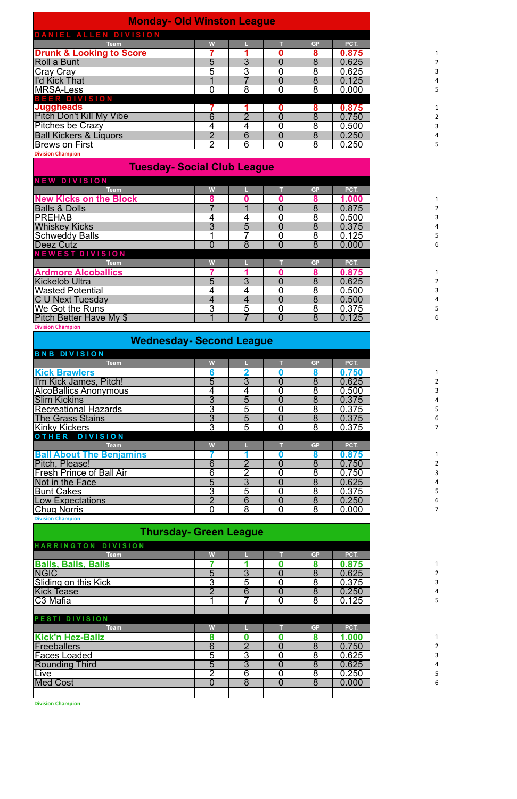| <b>Monday- Old Winston League</b>   |   |   |           |       |
|-------------------------------------|---|---|-----------|-------|
| DANIEL ALLEN DIVISION               |   |   |           |       |
| Team                                | W |   | <b>GP</b> | PCT.  |
| <b>Drunk &amp; Looking to Score</b> |   |   | 8         | 0.875 |
| Roll a Bunt                         | 5 | 3 | 8         | 0.625 |
| Cray Cray<br>I'd Kick That          | 5 | 3 | 8         | 0.625 |
|                                     |   |   | 8         | 0.125 |
| <b>MRSA-Less</b>                    |   | 8 | 8         | 0.000 |
| <b>BEER DIVISION</b>                |   |   |           |       |
| <b>Juggheads</b>                    |   |   | 8         | 0.875 |
| <b>Pitch Don't Kill My Vibe</b>     | 6 |   | 8         | 0.750 |
| <b>Pitches be Crazy</b>             | 4 | 4 | 8         | 0.500 |
| <b>Ball Kickers &amp; Liquors</b>   | ⌒ | 6 | 8         | 0.250 |
| <b>Brews on First</b>               | ⌒ | 6 | 8         | 0.250 |
| <b>Division Champion</b>            |   |   |           |       |

## **Tuesday- Social Club League**

| <b>NEW DIVISION</b>           |   |   |                |           |       |
|-------------------------------|---|---|----------------|-----------|-------|
| <b>Team</b>                   | W |   |                | <b>GP</b> | PCT.  |
| <b>New Kicks on the Block</b> | 8 |   |                | 8         | 1.000 |
| <b>Balls &amp; Dolls</b>      |   |   |                | 8         | 0.875 |
| <b>PREHAB</b>                 |   |   | 0              | 8         | 0.500 |
| <b>Whiskey Kicks</b>          | 3 | 5 | $\overline{0}$ | 8         | 0.375 |
| <b>Schweddy Balls</b>         |   |   |                | 8         | 0.125 |
| Deez Cutz                     | 0 | 8 | $\overline{0}$ | 8         | 0.000 |
| <b>NEWEST DIVISION</b>        |   |   |                |           |       |
| Team                          | W |   |                | <b>GP</b> | PCT.  |
| <b>Ardmore Alcoballics</b>    |   |   |                | 8         | 0.875 |
| <b>Kickelob Ultra</b>         | 5 | 3 |                | 8         | 0.625 |
| <b>Wasted Potential</b>       | 4 |   |                | 8         | 0.500 |
| <b>C U Next Tuesday</b>       | 4 | 4 | 0              | 8         | 0.500 |
| <b>We Got the Runs</b>        | 3 | 5 | 0              | 8         | 0.375 |
| Pitch Better Have My \$       |   |   | $\overline{0}$ | 8         | 0.125 |
| <b>Division Champion</b>      |   |   |                |           |       |

| <b>Wednesday- Second League</b> |  |  |  |
|---------------------------------|--|--|--|
|---------------------------------|--|--|--|

| <b>BNB DIVISION</b>             |                |   |   |           |       |
|---------------------------------|----------------|---|---|-----------|-------|
| <b>Team</b>                     | W              |   |   | <b>GP</b> | PCT.  |
| <b>Kick Brawlers</b>            | 6              | 2 |   | 8         | 0.750 |
| I'm Kick James, Pitch!          | 5              | 3 | 0 | 8         | 0.625 |
| <b>AlcoBallics Anonymous</b>    | 4              | 4 |   | 8         | 0.500 |
| <b>Slim Kickins</b>             | 3              | 5 | 0 | 8         | 0.375 |
| <b>Recreational Hazards</b>     | 3              | 5 |   | 8         | 0.375 |
| <b>The Grass Stains</b>         | 3              | 5 | 0 | 8         | 0.375 |
| <b>Kinky Kickers</b>            | 3              | 5 | 0 | 8         | 0.375 |
| OTHER DIVISION                  |                |   |   |           |       |
| <b>Team</b>                     | W              |   |   | <b>GP</b> | PCT.  |
| <b>Ball About The Benjamins</b> |                |   |   | 8         | 0.875 |
| Pitch, Please!                  | 6              | റ | 0 | 8         | 0.750 |
| <b>Fresh Prince of Ball Air</b> | 6              | າ |   | 8         | 0.750 |
| Not in the Face                 | 5              | 3 | 0 | 8         | 0.625 |
| <b>Bunt Cakes</b>               | $\overline{3}$ | 5 |   | 8         | 0.375 |
| <b>Low Expectations</b>         | $\overline{2}$ | 6 | 0 | 8         | 0.250 |
| <b>Chug Norris</b>              | 0              | 8 | 0 | 8         | 0.000 |
| <b>Division Champion</b>        |                |   |   |           |       |

| <b>Thursday- Green League</b> |   |   |   |           |       |  |  |  |  |  |
|-------------------------------|---|---|---|-----------|-------|--|--|--|--|--|
| HARRINGTON DIVISION           |   |   |   |           |       |  |  |  |  |  |
| <b>Team</b>                   | W |   |   | <b>GP</b> | PCT.  |  |  |  |  |  |
| <b>Balls, Balls, Balls</b>    |   |   |   | 8         | 0.875 |  |  |  |  |  |
| <b>NGIC</b>                   | 5 | 3 | 0 | 8         | 0.625 |  |  |  |  |  |
| Sliding on this Kick          | 3 | 5 |   | 8         | 0.375 |  |  |  |  |  |
| <b>Kick Tease</b>             | っ | 6 | 0 | 8         | 0.250 |  |  |  |  |  |
| ∣C3 Mafia                     |   |   | 0 | 8         | 0.125 |  |  |  |  |  |
|                               |   |   |   |           |       |  |  |  |  |  |
| PESTI DIVISION                |   |   |   |           |       |  |  |  |  |  |
| <b>Team</b>                   | W |   |   | <b>GP</b> | PCT.  |  |  |  |  |  |
| <b>Kick'n Hez-Ballz</b>       | 8 |   |   | 8         | 1.000 |  |  |  |  |  |
| Freeballers                   | 6 | っ | 0 | 8         | 0.750 |  |  |  |  |  |
| Faces Loaded                  | 5 | 3 | 0 | 8         | 0.625 |  |  |  |  |  |
| <b>Rounding Third</b>         | 5 | 3 | 0 | 8         | 0.625 |  |  |  |  |  |
| Live                          | າ | 6 | 0 | 8         | 0.250 |  |  |  |  |  |
| <b>Med Cost</b>               | 0 | 8 | 0 | 8         | 0.000 |  |  |  |  |  |
|                               |   |   |   |           |       |  |  |  |  |  |

**Division Champion**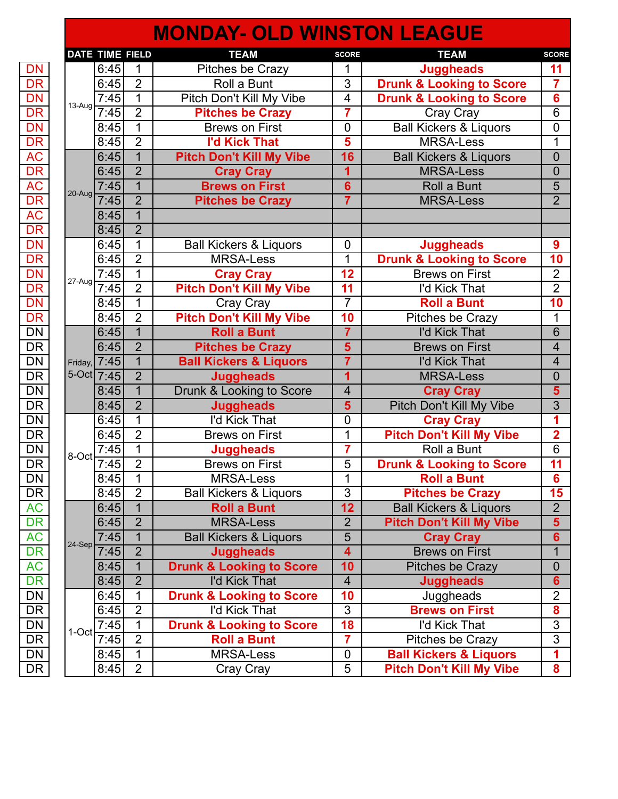## **MONDAY- OLD WINSTON LEAGUE**

|                                  |          | <b>DATE TIME FIELD</b> |                | <b>TEAM</b>                         | <b>SCORE</b>             | <b>TEAM</b>                         | <b>SCORE</b>            |
|----------------------------------|----------|------------------------|----------------|-------------------------------------|--------------------------|-------------------------------------|-------------------------|
| DN                               |          | 6:45                   | 1              | Pitches be Crazy                    | 1                        | <b>Juggheads</b>                    | 11                      |
| DR                               |          | 6:45                   | $\overline{2}$ | Roll a Bunt                         | $\overline{3}$           | <b>Drunk &amp; Looking to Score</b> | $\overline{7}$          |
|                                  |          | 7:45                   | $\mathbf{1}$   | Pitch Don't Kill My Vibe            | 4                        | <b>Drunk &amp; Looking to Score</b> | $6\phantom{1}6$         |
| DN<br>DR<br>DN<br>DR<br>DR<br>AC | $13-Aug$ | 7:45                   | $\overline{2}$ | <b>Pitches be Crazy</b>             | $\overline{7}$           | Cray Cray                           | $\overline{6}$          |
|                                  |          | 8:45                   | $\mathbf{1}$   | <b>Brews on First</b>               | $\mathbf 0$              | <b>Ball Kickers &amp; Liquors</b>   | $\overline{0}$          |
|                                  |          | 8:45                   | $\overline{2}$ | <b>I'd Kick That</b>                | $\overline{\mathbf{5}}$  | <b>MRSA-Less</b>                    | 1                       |
|                                  |          | 6:45                   | $\mathbf{1}$   | <b>Pitch Don't Kill My Vibe</b>     | 16                       | <b>Ball Kickers &amp; Liquors</b>   | $\overline{0}$          |
|                                  |          | 6:45                   | $\overline{2}$ | <b>Cray Cray</b>                    | 1                        | <b>MRSA-Less</b>                    | $\overline{0}$          |
|                                  |          | 7.45                   | $\overline{1}$ | <b>Brews on First</b>               | $6\phantom{1}$           | Roll a Bunt                         | 5                       |
|                                  | 20-Aug   | 7:45                   | $\overline{2}$ | <b>Pitches be Crazy</b>             | $\overline{7}$           | <b>MRSA-Less</b>                    | $\overline{2}$          |
|                                  |          | 8:45                   | $\overline{1}$ |                                     |                          |                                     |                         |
|                                  |          | 8:45                   | $\overline{2}$ |                                     |                          |                                     |                         |
|                                  |          | 6:45                   | $\mathbf 1$    | <b>Ball Kickers &amp; Liquors</b>   | 0                        | <b>Juggheads</b>                    | $\boldsymbol{9}$        |
|                                  |          | 6:45                   | $\overline{2}$ | <b>MRSA-Less</b>                    | 1                        | <b>Drunk &amp; Looking to Score</b> | $\overline{10}$         |
|                                  |          | 7:45                   | $\overline{1}$ | <b>Cray Cray</b>                    | 12                       | <b>Brews on First</b>               | $\overline{2}$          |
|                                  | 27-Aug   | 7:45                   | $\overline{2}$ | <b>Pitch Don't Kill My Vibe</b>     | 11                       | I'd Kick That                       | $\overline{2}$          |
|                                  |          | 8:45                   | 1              | Cray Cray                           | $\overline{7}$           | <b>Roll a Bunt</b>                  | 10                      |
|                                  |          | 8:45                   | $\overline{2}$ | <b>Pitch Don't Kill My Vibe</b>     | 10                       | Pitches be Crazy                    | 1                       |
|                                  |          | 6:45                   | $\mathbf{1}$   | <b>Roll a Bunt</b>                  | $\overline{7}$           | I'd Kick That                       | $6\phantom{1}6$         |
|                                  |          | 6:45                   | $\overline{2}$ | <b>Pitches be Crazy</b>             | $\overline{\mathbf{5}}$  | <b>Brews on First</b>               | $\overline{4}$          |
|                                  |          | Friday, 7:45           | $\overline{1}$ | <b>Ball Kickers &amp; Liquors</b>   | $\overline{7}$           | I'd Kick That                       | $\overline{4}$          |
|                                  |          | $5-Oct$ 7:45           | $\overline{2}$ | <b>Juggheads</b>                    | $\overline{\mathbf{1}}$  | <b>MRSA-Less</b>                    | $\overline{0}$          |
|                                  |          | 8:45                   | $\overline{1}$ | Drunk & Looking to Score            | $\overline{\mathbf{4}}$  | <b>Cray Cray</b>                    | $\overline{\mathbf{5}}$ |
|                                  |          | 8:45                   | $\overline{2}$ | <b>Juggheads</b>                    | 5                        | Pitch Don't Kill My Vibe            | $\overline{3}$          |
| DN<br>DR<br>DN<br>DR             |          | 6:45                   | $\mathbf{1}$   | I'd Kick That                       | $\mathbf 0$              | <b>Cray Cray</b>                    | 1                       |
|                                  |          | 6:45                   | $\overline{2}$ | <b>Brews on First</b>               | 1                        | <b>Pitch Don't Kill My Vibe</b>     | $\overline{2}$          |
|                                  | 8-Oct    | 7.45                   | $\overline{1}$ | <b>Juggheads</b>                    | 7                        | Roll a Bunt                         | $\overline{6}$          |
|                                  |          | 7:45                   | $\overline{2}$ | <b>Brews on First</b>               | $\overline{5}$           | <b>Drunk &amp; Looking to Score</b> | 11                      |
|                                  |          | 8:45                   | 1              | <b>MRSA-Less</b>                    | 1                        | <b>Roll a Bunt</b>                  | $\overline{\mathbf{6}}$ |
|                                  |          | 8:45                   | $\overline{2}$ | <b>Ball Kickers &amp; Liquors</b>   | $\overline{3}$           | <b>Pitches be Crazy</b>             | 15                      |
|                                  |          | 6:45                   | $\mathbf{1}$   | <b>Roll a Bunt</b>                  | 12                       | <b>Ball Kickers &amp; Liquors</b>   | 2 <sup>1</sup>          |
|                                  |          | 6:45                   | $\overline{2}$ | <b>MRSA-Less</b>                    | $\overline{2}$           | <b>Pitch Don't Kill My Vibe</b>     | 5 <sup>5</sup>          |
|                                  | 24-Sep   | 7:45                   | $\mathbf{1}$   | <b>Ball Kickers &amp; Liquors</b>   | 5                        | <b>Cray Cray</b>                    | 6 <sup>1</sup>          |
|                                  |          | 7:45                   | $\overline{2}$ | <b>Juggheads</b>                    | $\overline{\mathbf{4}}$  | <b>Brews on First</b>               | $\mathbf{1}$            |
|                                  |          | 8:45                   | $\mathbf{1}$   | <b>Drunk &amp; Looking to Score</b> | 10                       | <b>Pitches be Crazy</b>             | $\mathbf 0$             |
|                                  |          | 8:45                   | $\overline{2}$ | I'd Kick That                       | $\overline{\mathcal{A}}$ | <b>Juggheads</b>                    | $6\phantom{a}$          |
|                                  |          | 6:45                   | $\mathbf 1$    | <b>Drunk &amp; Looking to Score</b> | 10                       | Juggheads                           | $\overline{2}$          |
|                                  |          | 6:45                   | $\overline{2}$ | I'd Kick That                       | 3                        | <b>Brews on First</b>               | 8                       |
|                                  | $1$ -Oct | 7:45                   | $\mathbf{1}$   | <b>Drunk &amp; Looking to Score</b> | 18                       | I'd Kick That                       | $\overline{3}$          |
|                                  |          | 7:45                   | $\overline{2}$ | <b>Roll a Bunt</b>                  | $\overline{\mathbf{7}}$  | Pitches be Crazy                    | $\overline{3}$          |
|                                  |          | 8:45                   | $\mathbf{1}$   | <b>MRSA-Less</b>                    | 0                        | <b>Ball Kickers &amp; Liquors</b>   | 1                       |
|                                  |          | 8:45                   | $\overline{2}$ | Cray Cray                           | $\overline{5}$           | <b>Pitch Don't Kill My Vibe</b>     | 8                       |
|                                  |          |                        |                |                                     |                          |                                     |                         |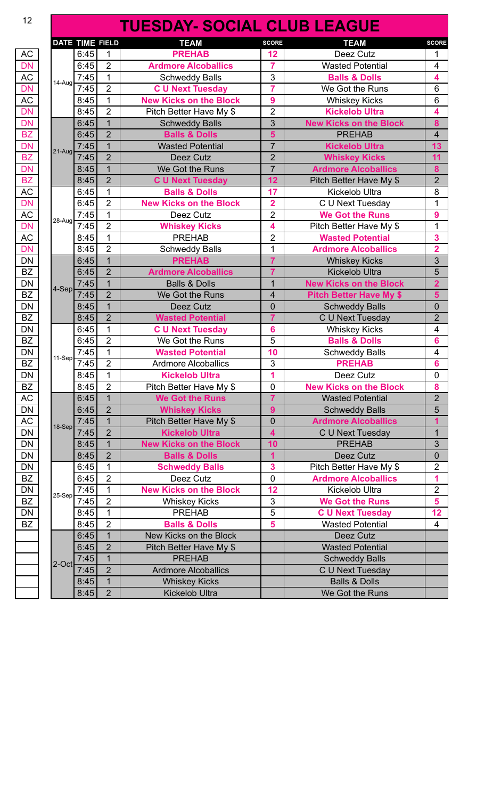## **TUESDAY- SOCIAL CLUB LEAGUE**

|        | <b>DATE TIME FIELD</b> |                | <b>TEAM</b>                   | <b>SCORE</b>            | <b>TEAM</b>                    | <b>SCORE</b>     |
|--------|------------------------|----------------|-------------------------------|-------------------------|--------------------------------|------------------|
|        | 6:45                   | 1              | <b>PREHAB</b>                 | 12                      | Deez Cutz                      | 1                |
|        | 6:45                   | $\overline{2}$ | <b>Ardmore Alcoballics</b>    | $\overline{7}$          | <b>Wasted Potential</b>        | 4                |
|        | 7:45                   | 1              | <b>Schweddy Balls</b>         | 3                       | <b>Balls &amp; Dolls</b>       | 4                |
| 14-Aug | 7:45                   | $\overline{2}$ | <b>C U Next Tuesday</b>       | 7                       | We Got the Runs                | 6                |
|        | 8:45                   | 1              | <b>New Kicks on the Block</b> | 9                       | <b>Whiskey Kicks</b>           | 6                |
|        | 8:45                   | $\overline{2}$ | Pitch Better Have My \$       | 2                       | <b>Kickelob Ultra</b>          | 4                |
|        | 6:45                   | $\mathbf{1}$   | <b>Schweddy Balls</b>         | 3                       | <b>New Kicks on the Block</b>  | 8                |
|        | 6:45                   | $\overline{2}$ | <b>Balls &amp; Dolls</b>      | 5                       | <b>PREHAB</b>                  | $\overline{4}$   |
|        | 7:45                   | 1              | <b>Wasted Potential</b>       | $\overline{7}$          | <b>Kickelob Ultra</b>          | 13               |
| 21-Aug | 7:45                   | $\overline{2}$ | Deez Cutz                     | $\overline{2}$          | <b>Whiskey Kicks</b>           | 11               |
|        | 8:45                   | $\overline{1}$ | We Got the Runs               | $\overline{7}$          | <b>Ardmore Alcoballics</b>     | 8                |
|        | 8:45                   | $\overline{2}$ | <b>C U Next Tuesday</b>       | 12                      | Pitch Better Have My \$        | $\overline{2}$   |
|        | 6:45                   | 1              | <b>Balls &amp; Dolls</b>      | 17                      | <b>Kickelob Ultra</b>          | 8                |
|        | 6:45                   | $\overline{2}$ | <b>New Kicks on the Block</b> | $\overline{\mathbf{2}}$ | C U Next Tuesday               | 1                |
|        | 7:45                   | 1              | Deez Cutz                     | $\overline{2}$          | <b>We Got the Runs</b>         | 9                |
| 28-Aug | 7:45                   | $\overline{2}$ | <b>Whiskey Kicks</b>          | 4                       | Pitch Better Have My \$        | 1                |
|        | 8:45                   | 1              | <b>PREHAB</b>                 | 2                       | <b>Wasted Potential</b>        | 3                |
|        | 8:45                   | $\overline{2}$ | <b>Schweddy Balls</b>         | 1                       | <b>Ardmore Alcoballics</b>     | $\overline{2}$   |
|        | 6:45                   | 1              | <b>PREHAB</b>                 | $\overline{7}$          | <b>Whiskey Kicks</b>           | 3                |
|        | 6:45                   | $\overline{2}$ | <b>Ardmore Alcoballics</b>    | $\overline{7}$          | <b>Kickelob Ultra</b>          | 5                |
|        | 7:45                   | $\overline{1}$ | <b>Balls &amp; Dolls</b>      | 1                       | <b>New Kicks on the Block</b>  | $\overline{2}$   |
| 4-Sep  | 7:45                   | $\overline{2}$ | We Got the Runs               | 4                       | <b>Pitch Better Have My \$</b> | 5                |
|        | 8:45                   | $\overline{1}$ | Deez Cutz                     | $\mathbf 0$             | <b>Schweddy Balls</b>          | 0                |
|        | 8:45                   | $\overline{2}$ | <b>Wasted Potential</b>       | $\overline{7}$          | C U Next Tuesday               | $\overline{2}$   |
|        | 6:45                   | 1              | <b>C U Next Tuesday</b>       | 6                       | <b>Whiskey Kicks</b>           | 4                |
|        | 6:45                   | $\overline{2}$ | We Got the Runs               | 5                       | <b>Balls &amp; Dolls</b>       | 6                |
|        | 7:45                   | $\mathbf 1$    | <b>Wasted Potential</b>       | 10                      | <b>Schweddy Balls</b>          | 4                |
| 11-Sep | 7:45                   | $\overline{2}$ | <b>Ardmore Alcoballics</b>    | 3                       | <b>PREHAB</b>                  | $6\phantom{a}$   |
|        | 8:45                   | $\mathbf{1}$   | <b>Kickelob Ultra</b>         | 1                       | Deez Cutz                      | $\mathbf 0$      |
|        | 8:45                   | $\overline{2}$ | Pitch Better Have My \$       | 0                       | <b>New Kicks on the Block</b>  | 8                |
|        | 6:45                   | $\mathbf{1}$   | <b>We Got the Runs</b>        | $\overline{7}$          | <b>Wasted Potential</b>        | $\overline{2}$   |
|        | 6:45                   | $\overline{2}$ | <b>Whiskey Kicks</b>          | 9                       |                                | 5                |
|        | 7:45                   | $\overline{1}$ |                               |                         | <b>Schweddy Balls</b>          |                  |
| 18-Sep |                        | $\overline{2}$ | Pitch Better Have My \$       | $\overline{0}$          | <b>Ardmore Alcoballics</b>     | 1                |
|        | 7:45                   |                | <b>Kickelob Ultra</b>         | 4                       | C U Next Tuesday               | $\mathbf{1}$     |
|        | 8:45                   | $\mathbf{1}$   | <b>New Kicks on the Block</b> | 10                      | <b>PREHAB</b>                  | 3                |
|        | 8:45                   | $\overline{2}$ | <b>Balls &amp; Dolls</b>      | 1                       | Deez Cutz                      | $\boldsymbol{0}$ |
|        | 6:45                   | 1              | <b>Schweddy Balls</b>         | 3                       | Pitch Better Have My \$        | $\overline{2}$   |
|        | 6:45                   | $\overline{2}$ | Deez Cutz                     | 0                       | <b>Ardmore Alcoballics</b>     | 1                |
| 25-Sep | 7:45                   | $\mathbf 1$    | <b>New Kicks on the Block</b> | 12                      | Kickelob Ultra                 | $\overline{2}$   |
|        | 7:45                   | $\overline{2}$ | <b>Whiskey Kicks</b>          | 3                       | <b>We Got the Runs</b>         | 5                |
|        | 8:45                   | 1              | <b>PREHAB</b>                 | 5                       | <b>C U Next Tuesday</b>        | 12               |
|        | 8:45                   | $\overline{2}$ | <b>Balls &amp; Dolls</b>      | 5                       | <b>Wasted Potential</b>        | $\overline{4}$   |
|        | 6:45                   | $\mathbf{1}$   | New Kicks on the Block        |                         | Deez Cutz                      |                  |
|        | 6:45                   | $\overline{2}$ | Pitch Better Have My \$       |                         | <b>Wasted Potential</b>        |                  |
| 2-Oct  | 7:45                   | $\mathbf{1}$   | <b>PREHAB</b>                 |                         | <b>Schweddy Balls</b>          |                  |
|        | 7:45                   | $\overline{2}$ | <b>Ardmore Alcoballics</b>    |                         | C U Next Tuesday               |                  |
|        | 8:45                   | $\overline{1}$ | <b>Whiskey Kicks</b>          |                         | <b>Balls &amp; Dolls</b>       |                  |
|        | 8:45                   | $\overline{2}$ | Kickelob Ultra                |                         | We Got the Runs                |                  |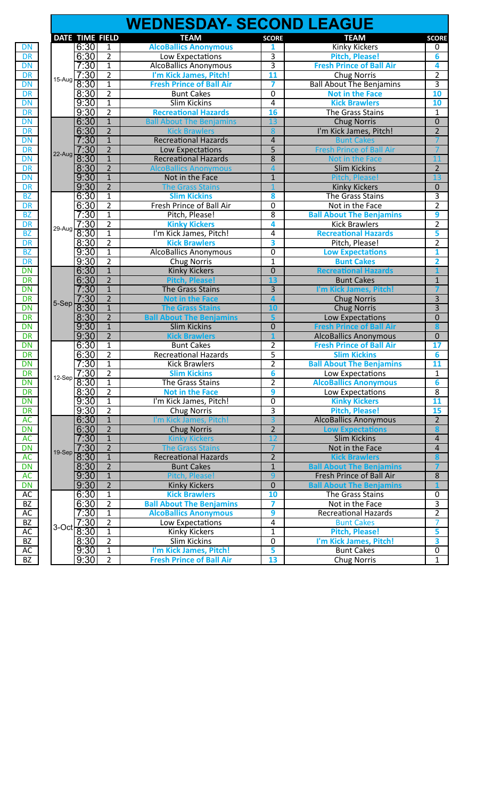|          |                                       |                                | <b>WEDNESDAY- SECOND LEAGUE</b> |                         |                                 |                         |
|----------|---------------------------------------|--------------------------------|---------------------------------|-------------------------|---------------------------------|-------------------------|
|          | DATE TIME FIELD                       |                                | <b>TEAM</b>                     | <b>SCORE</b>            | <b>TEAM</b>                     | <b>SCORE</b>            |
|          | 6:30                                  | 1                              | <b>AlcoBallics Anonymous</b>    | 1                       | Kinky Kickers                   | 0                       |
|          | 6:30                                  | $\overline{2}$                 | Low Expectations                | 3                       | <b>Pitch, Please!</b>           | 6                       |
|          | 7:30                                  | $\mathbf{1}$                   | <b>AlcoBallics Anonymous</b>    | $\overline{3}$          | <b>Fresh Prince of Ball Air</b> | 4                       |
|          | 7:30                                  | $\overline{2}$                 | I'm Kick James, Pitch!          | 11                      | <b>Chug Norris</b>              | $\overline{2}$          |
| $15-Aug$ | 8:30                                  | $\mathbf{1}$                   | <b>Fresh Prince of Ball Air</b> | 7                       | <b>Ball About The Benjamins</b> | $\overline{3}$          |
|          | 8:30                                  | $\overline{2}$                 | <b>Bunt Cakes</b>               | $\overline{0}$          | <b>Not in the Face</b>          | 10                      |
|          | 9:30                                  | $\overline{1}$                 | <b>Slim Kickins</b>             | 4                       | <b>Kick Brawlers</b>            | 10                      |
|          | 9:30                                  | $\overline{2}$                 | <b>Recreational Hazards</b>     | 16                      | The Grass Stains                | $\mathbf{1}$            |
|          | 6:30                                  | $\overline{1}$                 | <b>Ball About The Benjamins</b> | 13                      | <b>Chug Norris</b>              | $\overline{0}$          |
|          | 6:30                                  | $\overline{2}$                 | <b>Kick Brawlers</b>            | 8                       | I'm Kick James, Pitch!          | $\overline{2}$          |
|          | 7:30                                  | $\overline{1}$                 | <b>Recreational Hazards</b>     | 4                       | <b>Bunt Cakes</b>               |                         |
|          | 7:30                                  | $\overline{2}$                 | Low Expectations                | $\overline{5}$          | <b>Fresh Prince of Ball Air</b> |                         |
| $22-Aug$ | 8:30                                  | $\mathbf{1}$                   | <b>Recreational Hazards</b>     | 8                       | Not in the Face                 | 11                      |
|          | 8:30                                  | $\overline{2}$                 | <b>AlcoBallics Anonymous</b>    | $\overline{4}$          | <b>Slim Kickins</b>             | $\overline{2}$          |
|          | 9:30                                  | $\overline{1}$                 | Not in the Face                 | $\mathbf 1$             | Pitch, Please!                  | 13                      |
|          | 9:30                                  | $\overline{2}$                 | <b>The Grass Stains</b>         |                         | <b>Kinky Kickers</b>            | $\boldsymbol{0}$        |
|          | 6:30                                  | $\mathbf{1}$                   | <b>Slim Kickins</b>             | 8                       | The Grass Stains                | $\overline{3}$          |
|          | 6:30                                  | $\overline{2}$                 | Fresh Prince of Ball Air        | $\overline{0}$          | Not in the Face                 | $\overline{2}$          |
|          | 7:30                                  | $\mathbf{1}$                   | Pitch, Please!                  | 8                       | <b>Ball About The Benjamins</b> | 9                       |
| 29-Aug   | 7:30                                  | $\overline{2}$                 | <b>Kinky Kickers</b>            | 4                       | <b>Kick Brawlers</b>            | $\overline{2}$          |
|          | 8:30                                  | $\mathbf{1}$                   | I'm Kick James, Pitch!          | 4                       | <b>Recreational Hazards</b>     | 5                       |
|          | 8:30                                  | $\overline{2}$                 | <b>Kick Brawlers</b>            | 3                       | Pitch, Please!                  | $\overline{2}$          |
|          | 9:30                                  | $\mathbf{1}$                   | <b>AlcoBallics Anonymous</b>    | 0                       | <b>Low Expectations</b>         | $\mathbf{1}$            |
|          | 9:30                                  | $\overline{2}$                 | <b>Chug Norris</b>              | 1                       | <b>Bunt Cakes</b>               | $\overline{2}$          |
|          | 6:30                                  |                                |                                 |                         |                                 |                         |
|          |                                       | $\mathbf{1}$<br>$\overline{2}$ | <b>Kinky Kickers</b>            | $\mathbf 0$<br>13       | <b>Recreational Hazards</b>     |                         |
|          | 6:30                                  |                                | <b>Pitch, Please!</b>           |                         | <b>Bunt Cakes</b>               | $\mathbf{1}$            |
|          | 7:30                                  | $\mathbf{1}$                   | The Grass Stains                | 3                       | I'm Kick James, Pitch!          |                         |
| 5-Sep    | 7:30                                  | $\overline{2}$                 | <b>Not in the Face</b>          | $\overline{\mathbf{a}}$ | <b>Chug Norris</b>              | $\overline{3}$          |
|          | 8:30                                  | $\overline{1}$                 | <b>The Grass Stains</b>         | 10                      | <b>Chug Norris</b>              | $\overline{3}$          |
|          | 8:30                                  | $\overline{2}$                 | <b>Ball About The Benjamins</b> | 5                       | Low Expectations                | $\mathbf 0$             |
|          | 9:30                                  | $\overline{1}$                 | <b>Slim Kickins</b>             | $\overline{0}$          | <b>Fresh Prince of Ball Air</b> | 8                       |
|          | 9:30                                  | $\overline{2}$                 | <b>Kick Brawlers</b>            | 1                       | <b>AlcoBallics Anonymous</b>    | $\mathbf{0}$            |
|          | 6:30                                  | $\overline{1}$                 | <b>Bunt Cakes</b>               | $\overline{2}$          | <b>Fresh Prince of Ball Air</b> | 17                      |
|          | 6:30                                  | $\overline{2}$                 | <b>Recreational Hazards</b>     | $\overline{5}$          | <b>Slim Kickins</b>             | 6                       |
|          | 7:30                                  | $\overline{1}$                 | <b>Kick Brawlers</b>            | $\overline{2}$          | <b>Ball About The Benjamins</b> | 11                      |
|          | 7:30<br>$1^{12-Sep}$ $\frac{1}{8.30}$ | $\overline{2}$                 | <b>Slim Kickins</b>             | $\overline{\mathbf{6}}$ | Low Expectations                | $\overline{1}$          |
|          |                                       | 1                              | The Grass Stains                | $\overline{2}$          | <b>AlcoBallics Anonymous</b>    | 6                       |
|          | 8:30                                  | $\overline{2}$                 | <b>Not in the Face</b>          | 9                       | Low Expectations                | 8                       |
|          | 9:30                                  | $\mathbf{1}$                   | I'm Kick James, Pitch!          | 0                       | <b>Kinky Kickers</b>            | 11                      |
|          | 9:30                                  | $\overline{2}$                 | <b>Chug Norris</b>              | 3                       | <b>Pitch, Please!</b>           | 15                      |
|          | 6:30                                  | $\overline{1}$                 | I'm Kick James, Pitch!          | $\overline{3}$          | <b>AlcoBallics Anonymous</b>    | $2^{\circ}$             |
|          | 6:30                                  | $\overline{2}$                 | <b>Chug Norris</b>              | $\overline{2}$          | <b>Low Expectations</b>         | 8                       |
|          | 7.30                                  | $1\,$                          | <b>Kinky Kickers</b>            | $\overline{12}$         | <b>Slim Kickins</b>             | $\overline{4}$          |
| $19-Sep$ | 7:30                                  | $\overline{2}$                 | <b>The Grass Stains</b>         | $\overline{7}$          | Not in the Face                 | $\overline{4}$          |
|          | 8:30                                  | $\mathbf{1}$                   | <b>Recreational Hazards</b>     | $\overline{2}$          | <b>Kick Brawlers</b>            | 8                       |
|          | 8:30                                  | $\overline{2}$                 | <b>Bunt Cakes</b>               | $\mathbf 1$             | <b>Ball About The Benjamins</b> | $\overline{7}$          |
|          | 9:30                                  | $\overline{1}$                 | Pitch, Please!                  | 9                       | Fresh Prince of Ball Air        | $\bf 8$                 |
|          | 9:30                                  | $\overline{2}$                 | <b>Kinky Kickers</b>            | 0                       | <b>Ball About The Benjamins</b> |                         |
|          | 6:30                                  | $\mathbf{1}$                   | <b>Kick Brawlers</b>            | 10                      | The Grass Stains                | $\pmb{0}$               |
|          | 6:30                                  | $\overline{2}$                 | <b>Ball About The Benjamins</b> | 7                       | Not in the Face                 | $\overline{3}$          |
|          | 7:30                                  | $\mathbf{1}$                   | <b>AlcoBallics Anonymous</b>    | 9                       | <b>Recreational Hazards</b>     | $\overline{2}$          |
|          | 7:30                                  | $\overline{2}$                 | Low Expectations                | 4                       | <b>Bunt Cakes</b>               | 7                       |
| 3-Oct    | 8:30                                  | $\mathbf{1}$                   | Kinky Kickers                   | 1                       | <b>Pitch, Please!</b>           | 5                       |
|          | 8:30                                  | $\overline{2}$                 | Slim Kickins                    | $\overline{0}$          | I'm Kick James, Pitch!          | $\overline{\mathbf{3}}$ |
|          | 9:30                                  | $\mathbf 1$                    | I'm Kick James, Pitch!          | 5                       | <b>Bunt Cakes</b>               | $\pmb{0}$               |
|          | 9:30                                  | $\overline{2}$                 | <b>Fresh Prince of Ball Air</b> | 13                      | <b>Chug Norris</b>              | $\mathbf{1}$            |
|          |                                       |                                |                                 |                         |                                 |                         |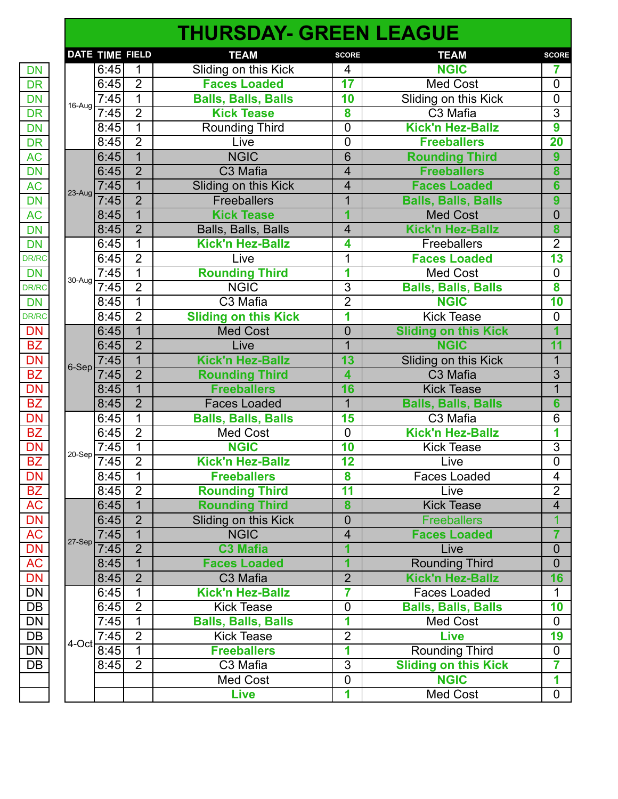|              |                   |                          |                | <b>THURSDAY- GREEN LEAGUE</b> |                         |                             |                         |
|--------------|-------------------|--------------------------|----------------|-------------------------------|-------------------------|-----------------------------|-------------------------|
|              |                   | DATE TIME FIELD          |                | <b>TEAM</b>                   | <b>SCORE</b>            | <b>TEAM</b>                 | <b>SCORE</b>            |
| <b>DN</b>    |                   | 6:45                     | $\mathbf{1}$   | Sliding on this Kick          | 4                       | <b>NGIC</b>                 | 7                       |
| <b>DR</b>    |                   | 6:45                     | $\overline{2}$ | <b>Faces Loaded</b>           | 17                      | <b>Med Cost</b>             | $\overline{0}$          |
| <b>DN</b>    |                   | 7:45                     | $\overline{1}$ | <b>Balls, Balls, Balls</b>    | 10                      | Sliding on this Kick        | $\mathbf 0$             |
| <b>DR</b>    |                   | $16$ -Aug $\boxed{7.45}$ | $\overline{2}$ | <b>Kick Tease</b>             | 8                       | C <sub>3</sub> Mafia        | $\overline{3}$          |
|              |                   | 8:45                     | 1              | Rounding Third                | $\mathbf 0$             | <b>Kick'n Hez-Ballz</b>     | $\overline{9}$          |
|              |                   | 8:45                     | $\overline{2}$ | Live                          | $\overline{0}$          | <b>Freeballers</b>          | $\overline{20}$         |
|              |                   | 6:45                     | $\mathbf{1}$   | <b>NGIC</b>                   | 6                       | <b>Rounding Third</b>       | 9                       |
|              |                   | 6:45                     | $\overline{2}$ | C3 Mafia                      | $\overline{4}$          | <b>Freeballers</b>          | 8                       |
|              |                   | 7:45                     | $\overline{1}$ | Sliding on this Kick          | 4                       | <b>Faces Loaded</b>         | 6                       |
|              |                   | $23-Aug$ 7:45            | $\overline{2}$ | <b>Freeballers</b>            | $\overline{1}$          | <b>Balls, Balls, Balls</b>  | $\overline{9}$          |
|              |                   | 8:45                     | $\overline{1}$ | <b>Kick Tease</b>             | 1                       | <b>Med Cost</b>             | $\overline{0}$          |
|              |                   | 8:45                     | $\overline{2}$ | Balls, Balls, Balls           | 4                       | <b>Kick'n Hez-Ballz</b>     | 8                       |
|              |                   | 6:45                     | $\mathbf{1}$   | <b>Kick'n Hez-Ballz</b>       | 4                       | Freeballers                 | $\overline{2}$          |
| DR/RC        |                   | 6:45                     | $\overline{2}$ | Live                          | $\overline{1}$          | <b>Faces Loaded</b>         | $\overline{13}$         |
|              |                   | 7.45                     | 1              | <b>Rounding Third</b>         | 1                       | Med Cost                    | $\mathbf 0$             |
| <b>DR/RC</b> | $1^{30-Aug}$ 7:45 |                          | $\overline{2}$ | <b>NGIC</b>                   | $\overline{3}$          | <b>Balls, Balls, Balls</b>  | $\overline{\mathbf{8}}$ |
| <b>DN</b>    |                   | 8:45                     | $\mathbf{1}$   | C3 Mafia                      | $\overline{2}$          | <b>NGIC</b>                 | 10                      |
| <b>DR/RC</b> |                   | 8:45                     | $\overline{2}$ | <b>Sliding on this Kick</b>   | 1                       | <b>Kick Tease</b>           | $\mathbf 0$             |
|              |                   | 6:45                     | $\overline{1}$ | <b>Med Cost</b>               | $\overline{0}$          | <b>Sliding on this Kick</b> | $\overline{\mathbf{1}}$ |
|              |                   | 6:45                     | $\overline{2}$ | Live                          | $\overline{1}$          | <b>NGIC</b>                 | 11                      |
|              |                   | 7:45                     | $\overline{1}$ | <b>Kick'n Hez-Ballz</b>       | $\overline{13}$         | Sliding on this Kick        | $\overline{1}$          |
|              | $6-Sep$ 7:45      |                          | $\overline{2}$ | <b>Rounding Third</b>         | 4                       | C3 Mafia                    | $\overline{3}$          |
|              |                   | 8:45                     | $\overline{1}$ | <b>Freeballers</b>            | 16                      | <b>Kick Tease</b>           | $\overline{1}$          |
|              |                   | 8:45                     | $\overline{2}$ | <b>Faces Loaded</b>           | $\overline{1}$          | <b>Balls, Balls, Balls</b>  | 6                       |
|              |                   | 6:45                     | 1              | <b>Balls, Balls, Balls</b>    | 15                      | C3 Mafia                    | 6                       |
|              |                   | 6:45                     | $\overline{2}$ | <b>Med Cost</b>               | $\overline{0}$          | <b>Kick'n Hez-Ballz</b>     | 1                       |
|              |                   | 7:45                     | $\mathbf{1}$   | <b>NGIC</b>                   | 10                      | <b>Kick Tease</b>           | $\overline{3}$          |
|              |                   | $1^{20-Sep}$ 7:45        | $\overline{2}$ | <b>Kick'n Hez-Ballz</b>       | 12                      | Live                        | $\overline{0}$          |
| DN           |                   | 8:45                     | $\mathbf{1}$   | <b>Freeballers</b>            | 8                       | <b>Faces Loaded</b>         | 4                       |
|              |                   | 8:45                     | $\overline{2}$ | <b>Rounding Third</b>         | 11                      | Live                        | $\overline{2}$          |
|              |                   | 6:45                     | $\overline{1}$ | <b>Rounding Third</b>         | 8                       | <b>Kick Tease</b>           | $\overline{4}$          |
|              |                   | 6:45                     | $\overline{2}$ | Sliding on this Kick          | $\mathbf 0$             | <b>Freeballers</b>          |                         |
|              |                   | 7:45                     | $\mathbf{1}$   | <b>NGIC</b>                   | $\overline{\mathbf{4}}$ | <b>Faces Loaded</b>         | 7                       |
|              | $27-Sep$          | 7:45                     | $\overline{2}$ | <b>C3 Mafia</b>               | $\overline{\mathbf{1}}$ | Live                        | $\overline{0}$          |
| <b>AC</b>    |                   | 8:45                     | $\mathbf{1}$   | <b>Faces Loaded</b>           | $\overline{1}$          | <b>Rounding Third</b>       | $\overline{0}$          |
| <b>DN</b>    |                   | 8:45                     | $\overline{2}$ | C3 Mafia                      | $\overline{2}$          | <b>Kick'n Hez-Ballz</b>     | 16                      |
| DN           |                   | 6.45                     | 1              | <b>Kick'n Hez-Ballz</b>       | 7                       | <b>Faces Loaded</b>         | 1                       |
| DB           |                   | 6:45                     | $\overline{2}$ | <b>Kick Tease</b>             | $\mathbf 0$             | <b>Balls, Balls, Balls</b>  | 10                      |
| <b>DN</b>    |                   | 7:45                     | $\overline{1}$ | <b>Balls, Balls, Balls</b>    | $\overline{\mathbf{1}}$ | <b>Med Cost</b>             | $\overline{0}$          |
|              |                   | 7:45                     | $\overline{2}$ | <b>Kick Tease</b>             | $\overline{2}$          | <b>Live</b>                 | 19                      |
|              | 4-Oct             | 8:45                     | $\mathbf 1$    | <b>Freeballers</b>            | 1                       | Rounding Third              | $\mathbf 0$             |
|              |                   | 8:45                     | $\overline{2}$ | C3 Mafia                      | $\overline{3}$          | <b>Sliding on this Kick</b> | 7                       |
|              |                   |                          |                | Med Cost                      | $\mathbf 0$             | <b>NGIC</b>                 | 1                       |
|              |                   |                          |                | <b>Live</b>                   | 1                       | Med Cost                    | $\overline{0}$          |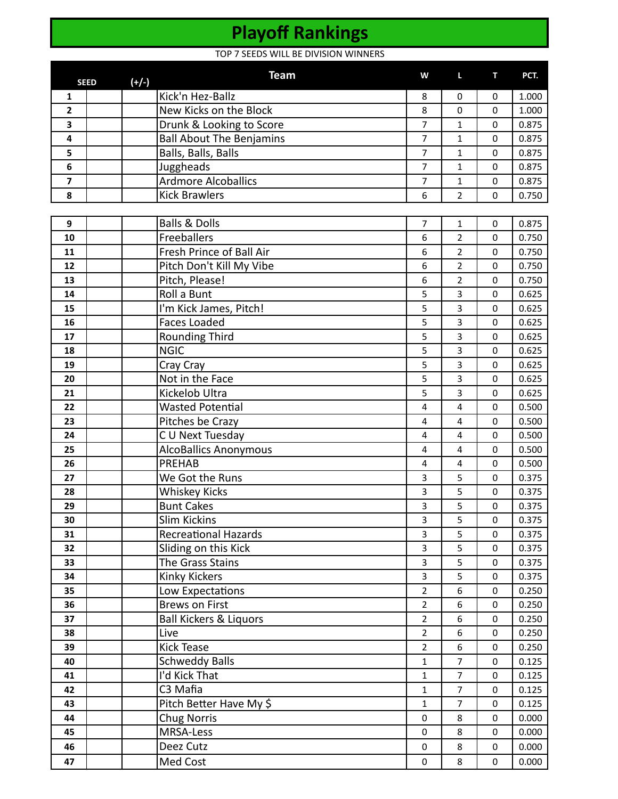## **Playoff Rankings**

TOP 7 SEEDS WILL BE DIVISION WINNERS

|                | <b>SEED</b> | $(+/-)$ | <b>Team</b>                       | W              | L                       | т           | PCT.  |
|----------------|-------------|---------|-----------------------------------|----------------|-------------------------|-------------|-------|
| 1              |             |         | Kick'n Hez-Ballz                  | 8              | 0                       | 0           | 1.000 |
| $\overline{2}$ |             |         | New Kicks on the Block            | 8              | $\mathbf 0$             | $\mathbf 0$ | 1.000 |
| 3              |             |         | Drunk & Looking to Score          | $\overline{7}$ | $\mathbf{1}$            | $\mathbf 0$ | 0.875 |
| 4              |             |         | <b>Ball About The Benjamins</b>   | $\overline{7}$ | $\mathbf{1}$            | $\mathbf 0$ | 0.875 |
| 5              |             |         | Balls, Balls, Balls               | $\overline{7}$ | 1                       | $\mathbf 0$ | 0.875 |
| 6              |             |         | Juggheads                         | $\overline{7}$ | $\mathbf{1}$            | $\mathbf 0$ | 0.875 |
| 7              |             |         | <b>Ardmore Alcoballics</b>        | 7              | $\mathbf{1}$            | $\mathbf 0$ | 0.875 |
| 8              |             |         | <b>Kick Brawlers</b>              | 6              | $\overline{2}$          | 0           | 0.750 |
|                |             |         |                                   |                |                         |             |       |
| 9              |             |         | <b>Balls &amp; Dolls</b>          | $\overline{7}$ | 1                       | $\mathbf 0$ | 0.875 |
| 10             |             |         | Freeballers                       | 6              | $\overline{2}$          | $\mathbf 0$ | 0.750 |
| 11             |             |         | Fresh Prince of Ball Air          | 6              | $\overline{2}$          | $\mathbf 0$ | 0.750 |
| 12             |             |         | Pitch Don't Kill My Vibe          | 6              | $\overline{2}$          | $\mathbf 0$ | 0.750 |
| 13             |             |         | Pitch, Please!                    | 6              | $\overline{2}$          | $\mathbf 0$ | 0.750 |
| 14             |             |         | Roll a Bunt                       | 5              | 3                       | $\mathbf 0$ | 0.625 |
| 15             |             |         | I'm Kick James, Pitch!            | 5              | 3                       | $\mathbf 0$ | 0.625 |
| 16             |             |         | <b>Faces Loaded</b>               | 5              | 3                       | $\mathbf 0$ | 0.625 |
| 17             |             |         | Rounding Third                    | 5              | 3                       | $\mathbf 0$ | 0.625 |
| 18             |             |         | <b>NGIC</b>                       | 5              | 3                       | $\mathbf 0$ | 0.625 |
| 19             |             |         | Cray Cray                         | 5              | $\overline{3}$          | $\mathbf 0$ | 0.625 |
| 20             |             |         | Not in the Face                   | 5              | 3                       | $\mathbf 0$ | 0.625 |
| 21             |             |         | Kickelob Ultra                    | 5              | 3                       | $\mathbf 0$ | 0.625 |
| 22             |             |         | <b>Wasted Potential</b>           | 4              | 4                       | $\mathbf 0$ | 0.500 |
| 23             |             |         | Pitches be Crazy                  | $\overline{4}$ | 4                       | $\mathbf 0$ | 0.500 |
| 24             |             |         | C U Next Tuesday                  | 4              | 4                       | $\mathbf 0$ | 0.500 |
| 25             |             |         | <b>AlcoBallics Anonymous</b>      | $\overline{4}$ | $\overline{4}$          | $\mathbf 0$ | 0.500 |
| 26             |             |         | <b>PREHAB</b>                     | 4              | $\overline{\mathbf{4}}$ | $\mathbf 0$ | 0.500 |
| 27             |             |         | We Got the Runs                   | 3              | 5                       | $\mathbf 0$ | 0.375 |
| 28             |             |         | <b>Whiskey Kicks</b>              | 3              | 5                       | $\mathbf 0$ | 0.375 |
| 29             |             |         | <b>Bunt Cakes</b>                 | 3              | 5                       | $\mathbf 0$ | 0.375 |
| 30             |             |         | <b>Slim Kickins</b>               | 3              | 5                       | $\mathbf 0$ | 0.375 |
| 31             |             |         | <b>Recreational Hazards</b>       | 3              | 5                       | $\mathbf 0$ | 0.375 |
| 32             |             |         | Sliding on this Kick              | 3              | 5                       | 0           | 0.375 |
| 33             |             |         | The Grass Stains                  | 3              | 5                       | $\mathbf 0$ | 0.375 |
| 34             |             |         | Kinky Kickers                     | $\overline{3}$ | 5                       | $\mathbf 0$ | 0.375 |
| 35             |             |         | Low Expectations                  | $\overline{2}$ | 6                       | 0           | 0.250 |
| 36             |             |         | <b>Brews on First</b>             | $\overline{2}$ | 6                       | 0           | 0.250 |
| 37             |             |         | <b>Ball Kickers &amp; Liquors</b> | $\overline{2}$ | 6                       | $\mathbf 0$ | 0.250 |
| 38             |             |         | Live                              | $\overline{2}$ | 6                       | $\pmb{0}$   | 0.250 |
| 39             |             |         | Kick Tease                        | $\overline{2}$ | 6                       | $\mathbf 0$ | 0.250 |
| 40             |             |         | <b>Schweddy Balls</b>             | $\mathbf{1}$   | $\overline{7}$          | $\mathbf 0$ | 0.125 |
| 41             |             |         | I'd Kick That                     | $\mathbf{1}$   | $\overline{7}$          | 0           | 0.125 |
| 42             |             |         | C3 Mafia                          | $\mathbf{1}$   | $\overline{7}$          | 0           | 0.125 |
| 43             |             |         | Pitch Better Have My \$           | $\mathbf{1}$   | $\overline{7}$          | $\mathbf 0$ | 0.125 |
| 44             |             |         | <b>Chug Norris</b>                | $\mathbf 0$    | 8                       | 0           | 0.000 |
| 45             |             |         | MRSA-Less                         | $\mathbf 0$    | 8                       | $\mathbf 0$ | 0.000 |
| 46             |             |         | Deez Cutz                         | $\mathbf 0$    | 8                       | 0           | 0.000 |
| 47             |             |         | Med Cost                          | 0              | 8                       | 0           | 0.000 |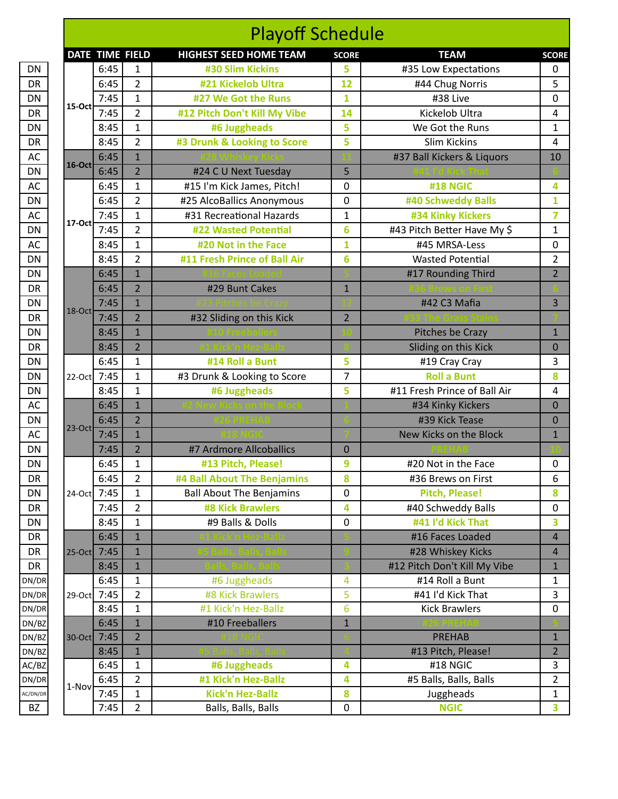|           |             |      |                 | <b>Playoff Schedule</b>         |                         |                              |                |
|-----------|-------------|------|-----------------|---------------------------------|-------------------------|------------------------------|----------------|
|           |             |      | DATE TIME FIELD | <b>HIGHEST SEED HOME TEAM</b>   | <b>SCORE</b>            | <b>TEAM</b>                  | <b>SCORE</b>   |
|           |             | 6:45 | 1               | #30 Slim Kickins                | 5                       | #35 Low Expectations         | 0              |
|           |             | 6:45 | $\overline{2}$  | #21 Kickelob Ultra              | 12                      | #44 Chug Norris              | 5              |
|           |             | 7:45 | $\mathbf{1}$    | #27 We Got the Runs             | $\overline{\mathbf{1}}$ | #38 Live                     | 0              |
|           | 15-Octl     | 7:45 | $\overline{2}$  | #12 Pitch Don't Kill My Vibe    | 14                      | Kickelob Ultra               | 4              |
|           |             | 8:45 | $\mathbf{1}$    | #6 Juggheads                    | 5                       | We Got the Runs              | 1              |
|           |             | 8:45 | $\overline{2}$  | #3 Drunk & Looking to Score     | 5                       | <b>Slim Kickins</b>          | 4              |
|           |             | 6:45 | $\overline{1}$  |                                 |                         | #37 Ball Kickers & Liquors   | 10             |
|           | $16$ -Oct   | 6:45 | $\overline{2}$  | #24 C U Next Tuesday            | 5                       |                              |                |
|           |             | 6:45 | $\mathbf{1}$    | #15 I'm Kick James, Pitch!      | 0                       | <b>#18 NGIC</b>              | 4              |
|           |             | 6:45 | $\overline{2}$  | #25 AlcoBallics Anonymous       | 0                       | #40 Schweddy Balls           | 1              |
|           |             | 7:45 | $\mathbf{1}$    | #31 Recreational Hazards        | 1                       | #34 Kinky Kickers            | 7              |
|           | $17-Oct$    | 7:45 | $\overline{2}$  | <b>#22 Wasted Potential</b>     | 6                       | #43 Pitch Better Have My \$  | $\mathbf{1}$   |
|           |             | 8:45 | $\mathbf{1}$    | #20 Not in the Face             | 1                       | #45 MRSA-Less                | 0              |
|           |             | 8:45 | $\overline{2}$  | #11 Fresh Prince of Ball Air    | 6                       | <b>Wasted Potential</b>      | $\overline{2}$ |
|           |             | 6:45 | $\mathbf{1}$    |                                 |                         | #17 Rounding Third           | $\overline{2}$ |
|           |             | 6:45 | $\overline{2}$  | #29 Bunt Cakes                  | $\mathbf{1}$            |                              |                |
|           |             | 7:45 | $\overline{1}$  |                                 |                         | #42 C3 Mafia                 | 3              |
|           | $18$ -Oct   | 7:45 | $\overline{2}$  | #32 Sliding on this Kick        | $\overline{2}$          |                              |                |
|           |             | 8:45 | $\mathbf{1}$    |                                 |                         | Pitches be Crazy             | $\mathbf{1}$   |
|           |             | 8:45 | $\overline{2}$  |                                 |                         | Sliding on this Kick         | $\mathbf 0$    |
|           |             | 6:45 | $\mathbf{1}$    | #14 Roll a Bunt                 | 5                       | #19 Cray Cray                | 3              |
|           | 22-Oct 7:45 |      | $\mathbf{1}$    | #3 Drunk & Looking to Score     | 7                       | <b>Roll a Bunt</b>           | 8              |
|           |             | 8:45 | $\mathbf{1}$    | #6 Juggheads                    | 5                       | #11 Fresh Prince of Ball Air | 4              |
|           |             | 6:45 | $\overline{1}$  |                                 |                         | #34 Kinky Kickers            | $\mathbf 0$    |
|           |             | 6:45 | $\overline{2}$  |                                 |                         | #39 Kick Tease               | $\mathbf 0$    |
| $23$ -Oct |             | 7:45 | $\mathbf{1}$    |                                 |                         | New Kicks on the Block       | $\mathbf{1}$   |
|           |             | 7:45 | $\overline{2}$  | #7 Ardmore Allcoballics         | $\mathbf 0$             |                              |                |
|           |             | 6:45 | $\mathbf{1}$    | #13 Pitch, Please!              | 9                       | #20 Not in the Face          | 0              |
|           |             | 6:45 | 2               | #4 Ball About The Benjamins     | 8                       | #36 Brews on First           | 6              |
|           | 24-Oct 7:45 |      | 1               | <b>Ball About The Benjamins</b> | 0                       | <b>Pitch, Please!</b>        | 8              |
|           |             | 7:45 | $\overline{2}$  | <b>#8 Kick Brawlers</b>         | 4                       | #40 Schweddy Balls           | 0              |
|           |             | 8:45 | $\mathbf{1}$    | #9 Balls & Dolls                | 0                       | #41 I'd Kick That            | 3              |
|           |             | 6:45 | $\mathbf{1}$    |                                 |                         | #16 Faces Loaded             | $\overline{4}$ |
|           | 25-Oct 7:45 |      | $\mathbf{1}$    |                                 |                         | #28 Whiskey Kicks            | $\overline{4}$ |
|           |             | 8:45 | $\mathbf{1}$    |                                 |                         | #12 Pitch Don't Kill My Vibe | $\mathbf{1}$   |
|           |             | 6:45 | 1               | #6 Juggheads                    | 4                       | #14 Roll a Bunt              | 1              |
|           | 29-Oct 7:45 |      | 2               | #8 Kick Brawlers                | 5                       | #41 I'd Kick That            | 3              |
|           |             | 8:45 | 1               | #1 Kick'n Hez-Ballz             | 6                       | <b>Kick Brawlers</b>         | 0              |
|           |             | 6:45 | $\mathbf{1}$    | #10 Freeballers                 | $\mathbf{1}$            |                              |                |
|           | 30-Oct 7:45 |      | $\overline{2}$  |                                 |                         | <b>PREHAB</b>                | $\mathbf{1}$   |
|           |             | 8:45 | $\mathbf{1}$    |                                 |                         | #13 Pitch, Please!           | $\overline{2}$ |
|           |             | 6:45 | 1               | #6 Juggheads                    | 4                       | #18 NGIC                     | 3              |
|           |             | 6:45 | $\overline{2}$  | #1 Kick'n Hez-Ballz             | 4                       | #5 Balls, Balls, Balls       | 2              |
|           | 1-Nov       | 7:45 | 1               | <b>Kick'n Hez-Ballz</b>         | 8                       | Juggheads                    | 1              |
|           |             | 7:45 | $\overline{2}$  | Balls, Balls, Balls             | 0                       | <b>NGIC</b>                  | 3              |
|           |             |      |                 |                                 |                         |                              |                |